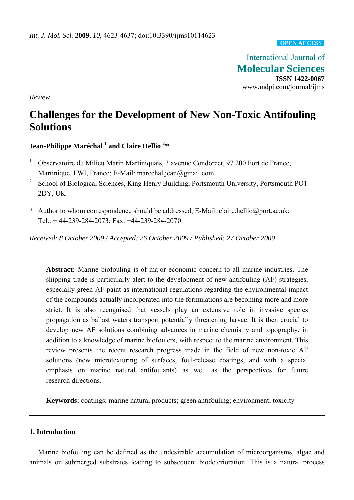#### **OPEN ACCESS**

International Journal of **Molecular Sciences ISSN 1422-0067**  www.mdpi.com/journal/ijms

*Review* 

# **Challenges for the Development of New Non-Toxic Antifouling Solutions**

**Jean-Philippe Maréchal 1 and Claire Hellio 2,\*** 

- <sup>1</sup> Observatoire du Milieu Marin Martiniquais, 3 avenue Condorcet, 97 200 Fort de France, Martinique, FWI, France; E-Mail: marechal.jean@gmail.com
- <sup>2</sup> School of Biological Sciences, King Henry Building, Portsmouth University, Portsmouth PO1 2DY, UK
- \* Author to whom correspondence should be addressed; E-Mail: claire.hellio@port.ac.uk; Tel.: + 44-239-284-2073; Fax: +44-239-284-2070.

*Received: 8 October 2009 / Accepted: 26 October 2009 / Published: 27 October 2009* 

**Abstract:** Marine biofouling is of major economic concern to all marine industries. The shipping trade is particularly alert to the development of new antifouling (AF) strategies, especially green AF paint as international regulations regarding the environmental impact of the compounds actually incorporated into the formulations are becoming more and more strict. It is also recognised that vessels play an extensive role in invasive species propagation as ballast waters transport potentially threatening larvae. It is then crucial to develop new AF solutions combining advances in marine chemistry and topography, in addition to a knowledge of marine biofoulers, with respect to the marine environment. This review presents the recent research progress made in the field of new non-toxic AF solutions (new microtexturing of surfaces, foul-release coatings, and with a special emphasis on marine natural antifoulants) as well as the perspectives for future research directions.

**Keywords:** coatings; marine natural products; green antifouling; environment; toxicity

## **1. Introduction**

Marine biofouling can be defined as the undesirable accumulation of microorganisms, algae and animals on submerged substrates leading to subsequent biodeterioration. This is a natural process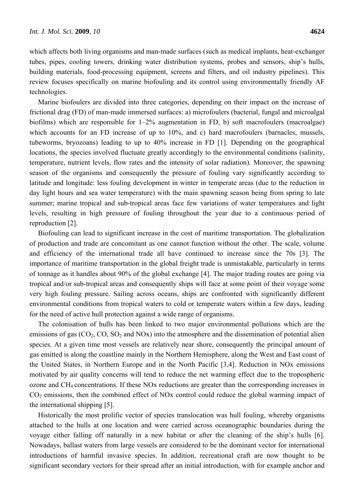which affects both living organisms and man-made surfaces (such as medical implants, heat-exchanger tubes, pipes, cooling towers, drinking water distribution systems, probes and sensors, ship's hulls, building materials, food-processing equipment, screens and filters, and oil industry pipelines). This review focuses specifically on marine biofouling and its control using environmentally friendly AF technologies.

Marine biofoulers are divided into three categories, depending on their impact on the increase of frictional drag (FD) of man-made immersed surfaces: a) microfoulers (bacterial, fungal and microalgal biofilms) which are responsible for  $1-2\%$  augmentation in FD, b) soft macrofoulers (macroalgae) which accounts for an FD increase of up to 10%, and c) hard macrofoulers (barnacles, mussels, tubeworms, bryozoans) leading to up to 40% increase in FD [1]. Depending on the geographical locations, the species involved fluctuate greatly accordingly to the environmental conditions (salinity, temperature, nutrient levels, flow rates and the intensity of solar radiation). Moreover, the spawning season of the organisms and consequently the pressure of fouling vary significantly according to latitude and longitude: less fouling development in winter in temperate areas (due to the reduction in day light hours and sea water temperature) with the main spawning season being from spring to late summer; marine tropical and sub-tropical areas face few variations of water temperatures and light levels, resulting in high pressure of fouling throughout the year due to a continuous period of reproduction [2].

Biofouling can lead to significant increase in the cost of maritime transportation. The globalization of production and trade are concomitant as one cannot function without the other. The scale, volume and efficiency of the international trade all have continued to increase since the 70s [3]. The importance of maritime transportation in the global freight trade is unmistakable, particularly in terms of tonnage as it handles about 90% of the global exchange [4]. The major trading routes are going via tropical and/or sub-tropical areas and consequently ships will face at some point of their voyage some very high fouling pressure. Sailing across oceans, ships are confronted with significantly different environmental conditions from tropical waters to cold or temperate waters within a few days, leading for the need of active hull protection against a wide range of organisms.

The colonisation of hulls has been linked to two major environmental pollutions which are the emissions of gas  $(CO_2, CO, SO_2$  and NOx) into the atmosphere and the dissemination of potential alien species. At a given time most vessels are relatively near shore, consequently the principal amount of gas emitted is along the coastline mainly in the Northern Hemisphere, along the West and East coast of the United States, in Northern Europe and in the North Pacific [3,4]. Reduction in NOx emissions motivated by air quality concerns will tend to reduce the net warming effect due to the tropospheric ozone and CH4 concentrations. If these NOx reductions are greater than the corresponding increases in CO<sub>2</sub> emissions, then the combined effect of NO<sub>x</sub> control could reduce the global warming impact of the international shipping [5].

Historically the most prolific vector of species translocation was hull fouling, whereby organisms attached to the hulls at one location and were carried across oceanographic boundaries during the voyage either falling off naturally in a new habitat or after the cleaning of the ship's hulls [6]. Nowadays, ballast waters from large vessels are considered to be the dominant vector for international introductions of harmful invasive species. In addition, recreational craft are now thought to be significant secondary vectors for their spread after an initial introduction, with for example anchor and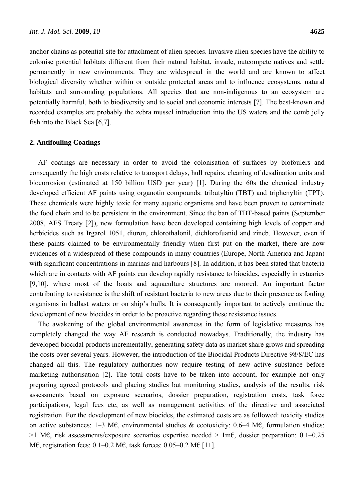anchor chains as potential site for attachment of alien species. Invasive alien species have the ability to colonise potential habitats different from their natural habitat, invade, outcompete natives and settle permanently in new environments. They are widespread in the world and are known to affect biological diversity whether within or outside protected areas and to influence ecosystems, natural habitats and surrounding populations. All species that are non-indigenous to an ecosystem are potentially harmful, both to biodiversity and to social and economic interests [7]. The best-known and recorded examples are probably the zebra mussel introduction into the US waters and the comb jelly fish into the Black Sea [6,7].

## **2. Antifouling Coatings**

AF coatings are necessary in order to avoid the colonisation of surfaces by biofoulers and consequently the high costs relative to transport delays, hull repairs, cleaning of desalination units and biocorrosion (estimated at 150 billion USD per year) [1]. During the 60s the chemical industry developed efficient AF paints using organotin compounds: tributyltin (TBT) and triphenyltin (TPT). These chemicals were highly toxic for many aquatic organisms and have been proven to contaminate the food chain and to be persistent in the environment. Since the ban of TBT-based paints (September 2008, AFS Treaty [2]), new formulation have been developed containing high levels of copper and herbicides such as Irgarol 1051, diuron, chlorothalonil, dichlorofuanid and zineb. However, even if these paints claimed to be environmentally friendly when first put on the market, there are now evidences of a widespread of these compounds in many countries (Europe, North America and Japan) with significant concentrations in marinas and harbours [8]. In addition, it has been stated that bacteria which are in contacts with AF paints can develop rapidly resistance to biocides, especially in estuaries [9,10], where most of the boats and aquaculture structures are moored. An important factor contributing to resistance is the shift of resistant bacteria to new areas due to their presence as fouling organisms in ballast waters or on ship's hulls. It is consequently important to actively continue the development of new biocides in order to be proactive regarding these resistance issues.

The awakening of the global environmental awareness in the form of legislative measures has completely changed the way AF research is conducted nowadays. Traditionally, the industry has developed biocidal products incrementally, generating safety data as market share grows and spreading the costs over several years. However, the introduction of the Biocidal Products Directive 98/8/EC has changed all this. The regulatory authorities now require testing of new active substance before marketing authorisation [2]. The total costs have to be taken into account, for example not only preparing agreed protocols and placing studies but monitoring studies, analysis of the results, risk assessments based on exposure scenarios, dossier preparation, registration costs, task force participations, legal fees etc, as well as management activities of the directive and associated registration. For the development of new biocides, the estimated costs are as followed: toxicity studies on active substances: 1–3 M€, environmental studies & ecotoxicity: 0.6–4 M€, formulation studies: >1 M€, risk assessments/exposure scenarios expertise needed > 1m€, dossier preparation: 0.1–0.25 M€, registration fees: 0.1–0.2 M€, task forces: 0.05–0.2 M€ [11].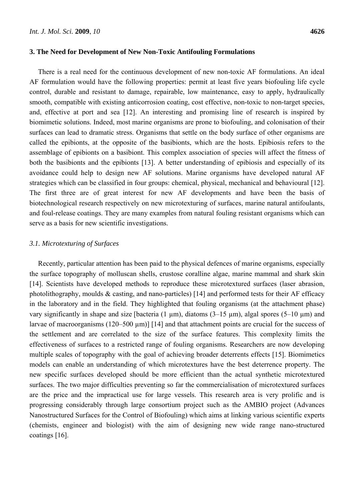#### **3. The Need for Development of New Non-Toxic Antifouling Formulations**

There is a real need for the continuous development of new non-toxic AF formulations. An ideal AF formulation would have the following properties: permit at least five years biofouling life cycle control, durable and resistant to damage, repairable, low maintenance, easy to apply, hydraulically smooth, compatible with existing anticorrosion coating, cost effective, non-toxic to non-target species, and, effective at port and sea [12]. An interesting and promising line of research is inspired by biomimetic solutions. Indeed, most marine organisms are prone to biofouling, and colonisation of their surfaces can lead to dramatic stress. Organisms that settle on the body surface of other organisms are called the epibionts, at the opposite of the basibionts, which are the hosts. Epibiosis refers to the assemblage of epibionts on a basibiont. This complex association of species will affect the fitness of both the basibionts and the epibionts [13]. A better understanding of epibiosis and especially of its avoidance could help to design new AF solutions. Marine organisms have developed natural AF strategies which can be classified in four groups: chemical, physical, mechanical and behavioural [12]. The first three are of great interest for new AF developments and have been the basis of biotechnological research respectively on new microtexturing of surfaces, marine natural antifoulants, and foul-release coatings. They are many examples from natural fouling resistant organisms which can serve as a basis for new scientific investigations.

## *3.1. Microtexturing of Surfaces*

Recently, particular attention has been paid to the physical defences of marine organisms, especially the surface topography of molluscan shells, crustose coralline algae, marine mammal and shark skin [14]. Scientists have developed methods to reproduce these microtextured surfaces (laser abrasion, photolithography, moulds  $\&$  casting, and nano-particles) [14] and performed tests for their AF efficacy in the laboratory and in the field. They highlighted that fouling organisms (at the attachment phase) vary significantly in shape and size [bacteria (1  $\mu$ m), diatoms (3–15  $\mu$ m), algal spores (5–10  $\mu$ m) and larvae of macroorganisms (120–500 µm)] [14] and that attachment points are crucial for the success of the settlement and are correlated to the size of the surface features. This complexity limits the effectiveness of surfaces to a restricted range of fouling organisms. Researchers are now developing multiple scales of topography with the goal of achieving broader deterrents effects [15]. Biomimetics models can enable an understanding of which microtextures have the best deterrence property. The new specific surfaces developed should be more efficient than the actual synthetic microtextured surfaces. The two major difficulties preventing so far the commercialisation of microtextured surfaces are the price and the impractical use for large vessels. This research area is very prolific and is progressing considerably through large consortium project such as the AMBIO project (Advances Nanostructured Surfaces for the Control of Biofouling) which aims at linking various scientific experts (chemists, engineer and biologist) with the aim of designing new wide range nano-structured coatings [16].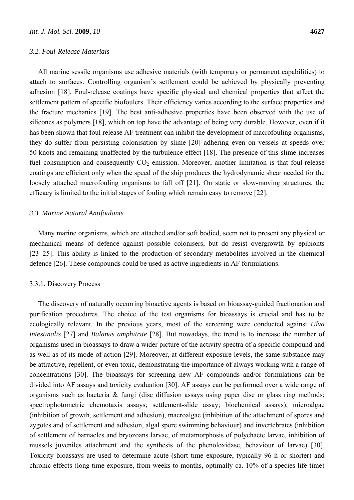#### *3.2. Foul-Release Materials*

All marine sessile organisms use adhesive materials (with temporary or permanent capabilities) to attach to surfaces. Controlling organism's settlement could be achieved by physically preventing adhesion [18]. Foul-release coatings have specific physical and chemical properties that affect the settlement pattern of specific biofoulers. Their efficiency varies according to the surface properties and the fracture mechanics [19]. The best anti-adhesive properties have been observed with the use of silicones as polymers [18], which on top have the advantage of being very durable. However, even if it has been shown that foul release AF treatment can inhibit the development of macrofouling organisms, they do suffer from persisting colonisation by slime [20] adhering even on vessels at speeds over 50 knots and remaining unaffected by the turbulence effect [18]. The presence of this slime increases fuel consumption and consequently  $CO<sub>2</sub>$  emission. Moreover, another limitation is that foul-release coatings are efficient only when the speed of the ship produces the hydrodynamic shear needed for the loosely attached macrofouling organisms to fall off [21]. On static or slow-moving structures, the efficacy is limited to the initial stages of fouling which remain easy to remove [22].

## *3.3. Marine Natural Antifoulants*

Many marine organisms, which are attached and/or soft bodied, seem not to present any physical or mechanical means of defence against possible colonisers, but do resist overgrowth by epibionts [23–25]. This ability is linked to the production of secondary metabolites involved in the chemical defence [26]. These compounds could be used as active ingredients in AF formulations.

## 3.3.1. Discovery Process

The discovery of naturally occurring bioactive agents is based on bioassay-guided fractionation and purification procedures. The choice of the test organisms for bioassays is crucial and has to be ecologically relevant. In the previous years, most of the screening were conducted against *Ulva intestinalis* [27] and *Balanus amphitrite* [28]. But nowadays, the trend is to increase the number of organisms used in bioassays to draw a wider picture of the activity spectra of a specific compound and as well as of its mode of action [29]. Moreover, at different exposure levels, the same substance may be attractive, repellent, or even toxic, demonstrating the importance of always working with a range of concentrations [30]. The bioassays for screening new AF compounds and/or formulations can be divided into AF assays and toxicity evaluation [30]. AF assays can be performed over a wide range of organisms such as bacteria  $\&$  fungi (disc diffusion assays using paper disc or glass ring methods; spectrophotometric chemotaxis assays; settlement-slide assay; biochemical assays), microalgae (inhibition of growth, settlement and adhesion), macroalgae (inhibition of the attachment of spores and zygotes and of settlement and adhesion, algal spore swimming behaviour) and invertebrates (inhibition of settlement of barnacles and bryozoans larvae, of metamorphosis of polychaete larvae, inhibition of mussels juveniles attachment and the synthesis of the phenoloxidase, behaviour of larvae) [30]. Toxicity bioassays are used to determine acute (short time exposure, typically 96 h or shorter) and chronic effects (long time exposure, from weeks to months, optimally ca. 10% of a species life-time)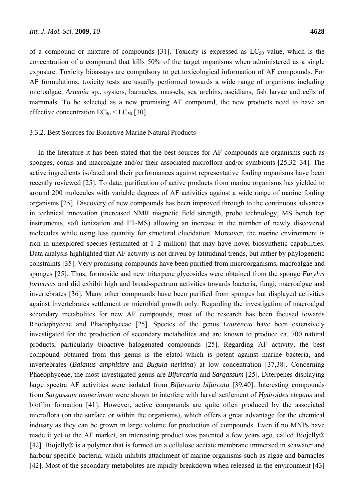of a compound or mixture of compounds [31]. Toxicity is expressed as  $LC_{50}$  value, which is the concentration of a compound that kills 50% of the target organisms when administered as a single exposure. Toxicity bioassays are compulsory to get toxicological information of AF compounds. For AF formulations, toxicity tests are usually performed towards a wide range of organisms including microalgae, *Artemia* sp., oysters, barnacles, mussels, sea urchins, ascidians, fish larvae and cells of mammals. To be selected as a new promising AF compound, the new products need to have an effective concentration  $EC_{50} < LC_{50}$  [30].

#### 3.3.2. Best Sources for Bioactive Marine Natural Products

In the literature it has been stated that the best sources for AF compounds are organisms such as sponges, corals and macroalgae and/or their associated microflora and/or symbionts [25,32–34]. The active ingredients isolated and their performances against representative fouling organisms have been recently reviewed [25]. To date, purification of active products from marine organisms has yielded to around 200 molecules with variable degrees of AF activities against a wide range of marine fouling organisms [25]. Discovery of new compounds has been improved through to the continuous advances in technical innovation (increased NMR magnetic field strength, probe technology, MS bench top instruments, soft ionization and FT-MS) allowing an increase in the number of newly discovered molecules while using less quantity for structural elucidation. Moreover, the marine environment is rich in unexplored species (estimated at 1–2 million) that may have novel biosynthetic capabilities. Data analysis highlighted that AF activity is not driven by latitudinal trends, but rather by phylogenetic constraints [35]. Very promising compounds have been purified from microorganisms, macroalgae and sponges [25]. Thus, formoside and new triterpene glycosides were obtained from the sponge *Eurylus formosus* and did exhibit high and broad-spectrum activities towards bacteria, fungi, macroalgae and invertebrates [36]. Many other compounds have been purified from sponges but displayed activities against invertebrates settlement or microbial growth only. Regarding the investigation of macroalgal secondary metabolites for new AF compounds, most of the research has been focused towards Rhodophyceae and Phaeophyceae [25]. Species of the genus *Laurencia* have been extensively investigated for the production of secondary metabolites and are known to produce ca. 700 natural products, particularly bioactive halogenated compounds [25]. Regarding AF activity, the best compound obtained from this genus is the elatol which is potent against marine bacteria, and invertebrates (*Balanus amphititre* and *Bugula neritina*) at low concentration [37,38]. Concerning Phaeophyceae, the most investigated genus are *Bifurcaria* and *Sargassum* [25]. Diterpenes displaying large spectra AF activities were isolated from *Bifurcaria bifurcata* [39,40]. Interesting compounds from *Sargassum tennerimum* were shown to interfere with larval settlement of *Hydroides elegans* and biofilm formation [41]. However, active compounds are quite often produced by the associated microflora (on the surface or within the organisms), which offers a great advantage for the chemical industry as they can be grown in large volume for production of compounds. Even if no MNPs have made it yet to the AF market, an interesting product was patented a few years ago, called Biojelly® [42]. Biojelly® is a polymer that is formed on a cellulose acetate membrane immersed in seawater and harbour specific bacteria, which inhibits attachment of marine organisms such as algae and barnacles [42]. Most of the secondary metabolites are rapidly breakdown when released in the environment [43]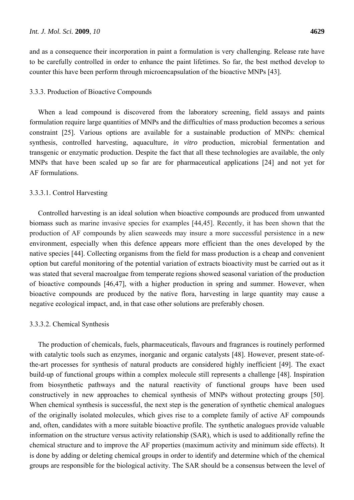and as a consequence their incorporation in paint a formulation is very challenging. Release rate have to be carefully controlled in order to enhance the paint lifetimes. So far, the best method develop to counter this have been perform through microencapsulation of the bioactive MNPs [43].

#### 3.3.3. Production of Bioactive Compounds

When a lead compound is discovered from the laboratory screening, field assays and paints formulation require large quantities of MNPs and the difficulties of mass production becomes a serious constraint [25]. Various options are available for a sustainable production of MNPs: chemical synthesis, controlled harvesting, aquaculture, *in vitro* production, microbial fermentation and transgenic or enzymatic production. Despite the fact that all these technologies are available, the only MNPs that have been scaled up so far are for pharmaceutical applications [24] and not yet for AF formulations.

#### 3.3.3.1. Control Harvesting

Controlled harvesting is an ideal solution when bioactive compounds are produced from unwanted biomass such as marine invasive species for examples [44,45]. Recently, it has been shown that the production of AF compounds by alien seaweeds may insure a more successful persistence in a new environment, especially when this defence appears more efficient than the ones developed by the native species [44]. Collecting organisms from the field for mass production is a cheap and convenient option but careful monitoring of the potential variation of extracts bioactivity must be carried out as it was stated that several macroalgae from temperate regions showed seasonal variation of the production of bioactive compounds [46,47], with a higher production in spring and summer. However, when bioactive compounds are produced by the native flora, harvesting in large quantity may cause a negative ecological impact, and, in that case other solutions are preferably chosen.

#### 3.3.3.2. Chemical Synthesis

The production of chemicals, fuels, pharmaceuticals, flavours and fragrances is routinely performed with catalytic tools such as enzymes, inorganic and organic catalysts [48]. However, present state-ofthe-art processes for synthesis of natural products are considered highly inefficient [49]. The exact build-up of functional groups within a complex molecule still represents a challenge [48]. Inspiration from biosynthetic pathways and the natural reactivity of functional groups have been used constructively in new approaches to chemical synthesis of MNPs without protecting groups [50]. When chemical synthesis is successful, the next step is the generation of synthetic chemical analogues of the originally isolated molecules, which gives rise to a complete family of active AF compounds and, often, candidates with a more suitable bioactive profile. The synthetic analogues provide valuable information on the structure versus activity relationship (SAR), which is used to additionally refine the chemical structure and to improve the AF properties (maximum activity and minimum side effects). It is done by adding or deleting chemical groups in order to identify and determine which of the chemical groups are responsible for the biological activity. The SAR should be a consensus between the level of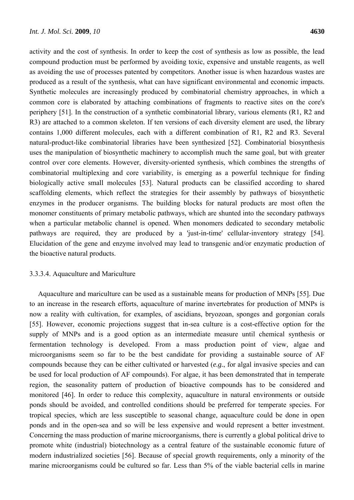activity and the cost of synthesis. In order to keep the cost of synthesis as low as possible, the lead compound production must be performed by avoiding toxic, expensive and unstable reagents, as well as avoiding the use of processes patented by competitors. Another issue is when hazardous wastes are produced as a result of the synthesis, what can have significant environmental and economic impacts. Synthetic molecules are increasingly produced by combinatorial chemistry approaches, in which a common core is elaborated by attaching combinations of fragments to reactive sites on the core's periphery [51]. In the construction of a synthetic combinatorial library, various elements (R1, R2 and R3) are attached to a common skeleton. If ten versions of each diversity element are used, the library contains 1,000 different molecules, each with a different combination of R1, R2 and R3. Several natural-product-like combinatorial libraries have been synthesized [52]. Combinatorial biosynthesis uses the manipulation of biosynthetic machinery to accomplish much the same goal, but with greater control over core elements. However, diversity-oriented synthesis, which combines the strengths of combinatorial multiplexing and core variability, is emerging as a powerful technique for finding biologically active small molecules [53]. Natural products can be classified according to shared scaffolding elements, which reflect the strategies for their assembly by pathways of biosynthetic enzymes in the producer organisms. The building blocks for natural products are most often the monomer constituents of primary metabolic pathways, which are shunted into the secondary pathways when a particular metabolic channel is opened. When monomers dedicated to secondary metabolic pathways are required, they are produced by a 'just-in-time' cellular-inventory strategy [54]. Elucidation of the gene and enzyme involved may lead to transgenic and/or enzymatic production of the bioactive natural products.

## 3.3.3.4. Aquaculture and Mariculture

Aquaculture and mariculture can be used as a sustainable means for production of MNPs [55]. Due to an increase in the research efforts, aquaculture of marine invertebrates for production of MNPs is now a reality with cultivation, for examples, of ascidians, bryozoan, sponges and gorgonian corals [55]. However, economic projections suggest that in-sea culture is a cost-effective option for the supply of MNPs and is a good option as an intermediate measure until chemical synthesis or fermentation technology is developed. From a mass production point of view, algae and microorganisms seem so far to be the best candidate for providing a sustainable source of AF compounds because they can be either cultivated or harvested (*e.g.*, for algal invasive species and can be used for local production of AF compounds). For algae, it has been demonstrated that in temperate region, the seasonality pattern of production of bioactive compounds has to be considered and monitored [46]. In order to reduce this complexity, aquaculture in natural environments or outside ponds should be avoided, and controlled conditions should be preferred for temperate species. For tropical species, which are less susceptible to seasonal change, aquaculture could be done in open ponds and in the open-sea and so will be less expensive and would represent a better investment. Concerning the mass production of marine microorganisms, there is currently a global political drive to promote white (industrial) biotechnology as a central feature of the sustainable economic future of modern industrialized societies [56]. Because of special growth requirements, only a minority of the marine microorganisms could be cultured so far. Less than 5% of the viable bacterial cells in marine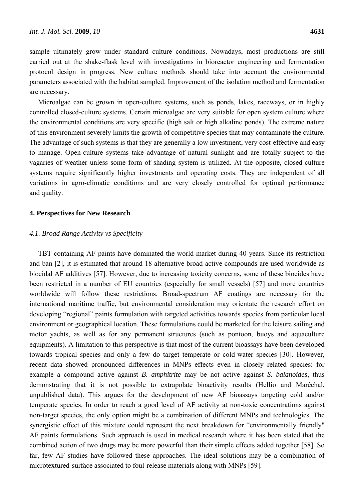sample ultimately grow under standard culture conditions. Nowadays, most productions are still carried out at the shake-flask level with investigations in bioreactor engineering and fermentation protocol design in progress. New culture methods should take into account the environmental parameters associated with the habitat sampled. Improvement of the isolation method and fermentation are necessary.

Microalgae can be grown in open-culture systems, such as ponds, lakes, raceways, or in highly controlled closed-culture systems. Certain microalgae are very suitable for open system culture where the environmental conditions are very specific (high salt or high alkaline ponds). The extreme nature of this environment severely limits the growth of competitive species that may contaminate the culture. The advantage of such systems is that they are generally a low investment, very cost-effective and easy to manage. Open-culture systems take advantage of natural sunlight and are totally subject to the vagaries of weather unless some form of shading system is utilized. At the opposite, closed-culture systems require significantly higher investments and operating costs. They are independent of all variations in agro-climatic conditions and are very closely controlled for optimal performance and quality.

#### **4. Perspectives for New Research**

## *4.1. Broad Range Activity vs Specificity*

TBT-containing AF paints have dominated the world market during 40 years. Since its restriction and ban [2], it is estimated that around 18 alternative broad-active compounds are used worldwide as biocidal AF additives [57]. However, due to increasing toxicity concerns, some of these biocides have been restricted in a number of EU countries (especially for small vessels) [57] and more countries worldwide will follow these restrictions. Broad-spectrum AF coatings are necessary for the international maritime traffic, but environmental consideration may orientate the research effort on developing "regional" paints formulation with targeted activities towards species from particular local environment or geographical location. These formulations could be marketed for the leisure sailing and motor yachts, as well as for any permanent structures (such as pontoon, buoys and aquaculture equipments). A limitation to this perspective is that most of the current bioassays have been developed towards tropical species and only a few do target temperate or cold-water species [30]. However, recent data showed pronounced differences in MNPs effects even in closely related species: for example a compound active against *B. amphitrite* may be not active against *S. balanoides*, thus demonstrating that it is not possible to extrapolate bioactivity results (Hellio and Maréchal, unpublished data). This argues for the development of new AF bioassays targeting cold and/or temperate species. In order to reach a good level of AF activity at non-toxic concentrations against non-target species, the only option might be a combination of different MNPs and technologies. The synergistic effect of this mixture could represent the next breakdown for "environmentally friendly" AF paints formulations. Such approach is used in medical research where it has been stated that the combined action of two drugs may be more powerful than their simple effects added together [58]. So far, few AF studies have followed these approaches. The ideal solutions may be a combination of microtextured-surface associated to foul-release materials along with MNPs [59].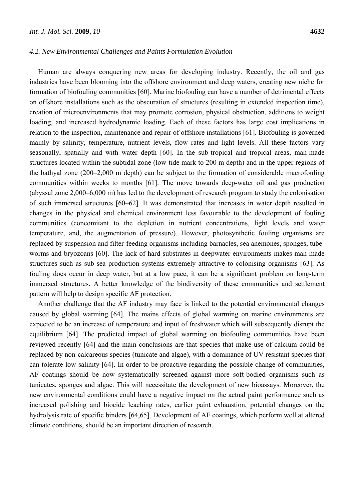## *4.2. New Environmental Challenges and Paints Formulation Evolution*

Human are always conquering new areas for developing industry. Recently, the oil and gas industries have been blooming into the offshore environment and deep waters, creating new niche for formation of biofouling communities [60]. Marine biofouling can have a number of detrimental effects on offshore installations such as the obscuration of structures (resulting in extended inspection time), creation of microenvironments that may promote corrosion, physical obstruction, additions to weight loading, and increased hydrodynamic loading. Each of these factors has large cost implications in relation to the inspection, maintenance and repair of offshore installations [61]. Biofouling is governed mainly by salinity, temperature, nutrient levels, flow rates and light levels. All these factors vary seasonally, spatially and with water depth [60]. In the sub-tropical and tropical areas, man-made structures located within the subtidal zone (low-tide mark to 200 m depth) and in the upper regions of the bathyal zone (200–2,000 m depth) can be subject to the formation of considerable macrofouling communities within weeks to months [61]. The move towards deep-water oil and gas production (abyssal zone 2,000–6,000 m) has led to the development of research program to study the colonisation of such immersed structures [60–62]. It was demonstrated that increases in water depth resulted in changes in the physical and chemical environment less favourable to the development of fouling communities (concomitant to the depletion in nutrient concentrations, light levels and water temperature, and, the augmentation of pressure). However, photosynthetic fouling organisms are replaced by suspension and filter-feeding organisms including barnacles, sea anemones, sponges, tubeworms and bryozoans [60]. The lack of hard substrates in deepwater environments makes man-made structures such as sub-sea production systems extremely attractive to colonising organisms [63]. As fouling does occur in deep water, but at a low pace, it can be a significant problem on long-term immersed structures. A better knowledge of the biodiversity of these communities and settlement pattern will help to design specific AF protection.

Another challenge that the AF industry may face is linked to the potential environmental changes caused by global warming [64]. The mains effects of global warming on marine environments are expected to be an increase of temperature and input of freshwater which will subsequently disrupt the equilibrium [64]. The predicted impact of global warming on biofouling communities have been reviewed recently [64] and the main conclusions are that species that make use of calcium could be replaced by non-calcareous species (tunicate and algae), with a dominance of UV resistant species that can tolerate low salinity [64]. In order to be proactive regarding the possible change of communities, AF coatings should be now systematically screened against more soft-bodied organisms such as tunicates, sponges and algae. This will necessitate the development of new bioassays. Moreover, the new environmental conditions could have a negative impact on the actual paint performance such as increased polishing and biocide leaching rates, earlier paint exhaustion, potential changes on the hydrolysis rate of specific binders [64,65]. Development of AF coatings, which perform well at altered climate conditions, should be an important direction of research.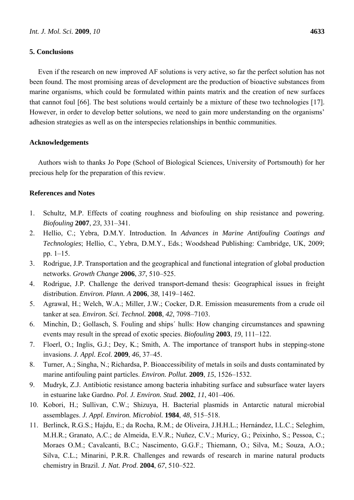#### **5. Conclusions**

Even if the research on new improved AF solutions is very active, so far the perfect solution has not been found. The most promising areas of development are the production of bioactive substances from marine organisms, which could be formulated within paints matrix and the creation of new surfaces that cannot foul [66]. The best solutions would certainly be a mixture of these two technologies [17]. However, in order to develop better solutions, we need to gain more understanding on the organisms' adhesion strategies as well as on the interspecies relationships in benthic communities.

## **Acknowledgements**

Authors wish to thanks Jo Pope (School of Biological Sciences, University of Portsmouth) for her precious help for the preparation of this review.

#### **References and Notes**

- 1. Schultz, M.P. Effects of coating roughness and biofouling on ship resistance and powering. *Biofouling* **2007**, *23*, 331–341.
- 2. Hellio, C.; Yebra, D.M.Y. Introduction. In *Advances in Marine Antifouling Coatings and Technologies*; Hellio, C., Yebra, D.M.Y., Eds.; Woodshead Publishing: Cambridge, UK, 2009; pp. 1–15.
- 3. Rodrigue, J.P. Transportation and the geographical and functional integration of global production networks. *Growth Change* **2006**, *37*, 510–525.
- 4. Rodrigue, J.P. Challenge the derived transport-demand thesis: Geographical issues in freight distribution. *Environ. Plann. A* **2006**, *38*, 1419–1462.
- 5. Agrawal, H.; Welch, W.A.; Miller, J.W.; Cocker, D.R. Emission measurements from a crude oil tanker at sea. *Environ. Sci. Technol.* **2008**, *42*, 7098–7103.
- 6. Minchin, D.; Gollasch, S. Fouling and ships´ hulls: How changing circumstances and spawning events may result in the spread of exotic species. *Biofouling* **2003**, *19*, 111–122.
- 7. Floerl, O.; Inglis, G.J.; Dey, K.; Smith, A. The importance of transport hubs in stepping-stone invasions. *J. Appl. Ecol.* **2009**, *46*, 37–45.
- 8. Turner, A.; Singha, N.; Richardsa, P. Bioaccessibility of metals in soils and dusts contaminated by marine antifouling paint particles. *Environ. Pollut.* **2009**, *15*, 1526–1532.
- 9. Mudryk, Z.J. Antibiotic resistance among bacteria inhabiting surface and subsurface water layers in estuarine lake Gardno. *Pol. J. Environ. Stud.* **2002**, *11*, 401–406.
- 10. Kobori, H.; Sullivan, C.W.; Shizuya, H. Bacterial plasmids in Antarctic natural microbial assemblages. *J. Appl. Environ. Microbiol.* **1984**, *48*, 515–518.
- 11. Berlinck, R.G.S.; Hajdu, E.; da Rocha, R.M.; de Oliveira, J.H.H.L.; Hernández, I.L.C.; Seleghim, M.H.R.; Granato, A.C.; de Almeida, E.V.R.; Nuñez, C.V.; Muricy, G.; Peixinho, S.; Pessoa, C.; Moraes O.M.; Cavalcanti, B.C.; Nascimento, G.G.F.; Thiemann, O.; Silva, M.; Souza, A.O.; Silva, C.L.; Minarini, P.R.R. Challenges and rewards of research in marine natural products chemistry in Brazil. *J. Nat. Prod*. **2004**, *67*, 510–522.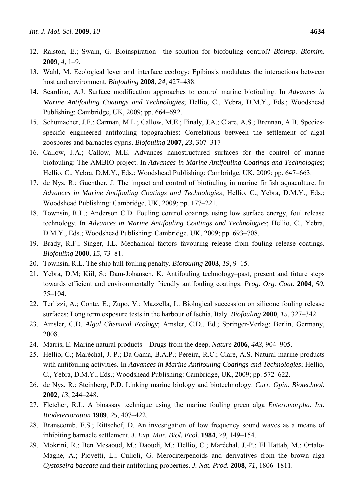- 12. Ralston, E.; Swain, G. Bioinspiration—the solution for biofouling control? *Bioinsp. Biomim*. **2009**, *4*, 1–9.
- 13. Wahl, M. Ecological lever and interface ecology: Epibiosis modulates the interactions between host and environment. *Biofouling* **2008**, *24*, 427–438.
- 14. Scardino, A.J. Surface modification approaches to control marine biofouling. In *Advances in Marine Antifouling Coatings and Technologies*; Hellio, C., Yebra, D.M.Y., Eds.; Woodshead Publishing: Cambridge, UK, 2009; pp. 664–692.
- 15. Schumacher, J.F.; Carman, M.L.; Callow, M.E.; Finaly, J.A.; Clare, A.S.; Brennan, A.B. Speciesspecific engineered antifouling topographies: Correlations between the settlement of algal zoospores and barnacles cypris. *Biofouling* **2007**, *23*, 307–317
- 16. Callow, J.A.; Callow, M.E. Advances nanostructured surfaces for the control of marine biofouling: The AMBIO project. In *Advances in Marine Antifouling Coatings and Technologies*; Hellio, C., Yebra, D.M.Y., Eds.; Woodshead Publishing: Cambridge, UK, 2009; pp. 647–663.
- 17. de Nys, R.; Guenther, J. The impact and control of biofouling in marine finfish aquaculture. In *Advances in Marine Antifouling Coatings and Technologies*; Hellio, C., Yebra, D.M.Y., Eds.; Woodshead Publishing: Cambridge, UK, 2009; pp. 177–221.
- 18. Townsin, R.L.; Anderson C.D. Fouling control coatings using low surface energy, foul release technology. In *Advances in Marine Antifouling Coatings and Technologies*; Hellio, C., Yebra, D.M.Y., Eds.; Woodshead Publishing: Cambridge, UK, 2009; pp. 693–708.
- 19. Brady, R.F.; Singer, I.L. Mechanical factors favouring release from fouling release coatings. *Biofouling* **2000**, *15*, 73–81.
- 20. Townsin, R.L. The ship hull fouling penalty. *Biofouling* **2003**, *19*, 9–15.
- 21. Yebra, D.M; Kiil, S.; Dam-Johansen, K. Antifouling technology–past, present and future steps towards efficient and environmentally friendly antifouling coatings. *Prog. Org. Coat.* **2004**, *50*, 75–104.
- 22. Terlizzi, A.; Conte, E.; Zupo, V.; Mazzella, L. Biological succession on silicone fouling release surfaces: Long term exposure tests in the harbour of Ischia, Italy. *Biofouling* **2000**, *15*, 327–342.
- 23. Amsler, C.D. *Algal Chemical Ecology*; Amsler, C.D., Ed.; Springer-Verlag: Berlin, Germany, 2008.
- 24. Marris, E. Marine natural products—Drugs from the deep. *Nature* **2006**, *443*, 904–905.
- 25. Hellio, C.; Maréchal, J.-P.; Da Gama, B.A.P.; Pereira, R.C.; Clare, A.S. Natural marine products with antifouling activities. In *Advances in Marine Antifouling Coatings and Technologies*; Hellio, C., Yebra, D.M.Y., Eds.; Woodshead Publishing: Cambridge, UK, 2009; pp. 572–622.
- 26. de Nys, R.; Steinberg, P.D. Linking marine biology and biotechnology. *Curr. Opin. Biotechnol.* **2002**, *13*, 244–248.
- 27. Fletcher, R.L. A bioassay technique using the marine fouling green alga *Enteromorpha. Int. Biodeterioration* **1989**, *25*, 407–422.
- 28. Branscomb, E.S.; Rittschof, D. An investigation of low frequency sound waves as a means of inhibiting barnacle settlement. *J. Exp. Mar. Biol. Ecol.* **1984**, *79*, 149–154.
- 29. Mokrini, R.; Ben Mesaoud, M.; Daoudi, M.; Hellio, C.; Maréchal, J.-P.; El Hattab, M.; Ortalo-Magne, A.; Piovetti, L.; Culioli, G. Meroditerpenoids and derivatives from the brown alga *Cystoseira baccata* and their antifouling properties. *J. Nat. Prod.* **2008**, *71*, 1806–1811.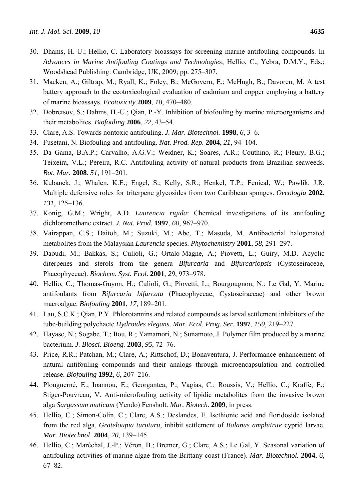- 30. Dhams, H.-U.; Hellio, C. Laboratory bioassays for screening marine antifouling compounds. In *Advances in Marine Antifouling Coatings and Technologies*; Hellio, C., Yebra, D.M.Y., Eds.; Woodshead Publishing: Cambridge, UK, 2009; pp. 275–307.
- 31. Macken, A.; Giltrap, M.; Ryall, K.; Foley, B.; McGovern, E.; McHugh, B.; Davoren, M. A test battery approach to the ecotoxicological evaluation of cadmium and copper employing a battery of marine bioassays. *Ecotoxicity* **2009**, *18*, 470–480.
- 32. Dobretsov, S.; Dahms, H.-U.; Qian, P.-Y. Inhibition of biofouling by marine microorganisms and their metabolites. *Biofouling* **2006**, *22*, 43–54.
- 33. Clare, A.S. Towards nontoxic antifouling. *J. Mar. Biotechnol.* **1998**, *6*, 3–6.
- 34. Fusetani, N. Biofouling and antifouling. *Nat. Prod. Rep.* **2004**, *21*, 94–104.
- 35. Da Gama, B.A.P.; Carvalho, A.G.V.; Weidner, K.; Soares, A.R.; Couthino, R.; Fleury, B.G.; Teixeira, V.L.; Pereira, R.C. Antifouling activity of natural products from Brazilian seaweeds. *Bot. Mar.* **2008**, *51*, 191–201.
- 36. Kubanek, J.; Whalen, K.E.; Engel, S.; Kelly, S.R.; Henkel, T.P.; Fenical, W.; Pawlik, J.R. Multiple defensive roles for triterpene glycosides from two Caribbean sponges. *Oecologia* **2002**, *131*, 125–136.
- 37. Konig, G.M.; Wright, A.D. *Laurencia rigida*: Chemical investigations of its antifouling dichloromethane extract. *J. Nat. Prod.* **1997**, *60*, 967–970.
- 38. Vairappan, C.S.; Daitoh, M.; Suzuki, M.; Abe, T.; Masuda, M. Antibacterial halogenated metabolites from the Malaysian *Laurencia* species. *Phytochemistry* **2001**, *58*, 291–297.
- 39. Daoudi, M.; Bakkas, S.; Culioli, G.; Ortalo-Magne, A.; Piovetti, L.; Guiry, M.D. Acyclic diterpenes and sterols from the genera *Bifurcaria* and *Bifurcariopsis* (Cystoseiraceae, Phaeophyceae). *Biochem. Syst. Ecol*. **2001**, *29*, 973–978.
- 40. Hellio, C.; Thomas-Guyon, H.; Culioli, G.; Piovetti, L.; Bourgougnon, N.; Le Gal, Y. Marine antifoulants from *Bifurcaria bifurcata* (Phaeophyceae, Cystoseiraceae) and other brown macroalgae. *Biofouling* **2001**, *17*, 189–201.
- 41. Lau, S.C.K.; Qian, P.Y. Phlorotannins and related compounds as larval settlement inhibitors of the tube-building polychaete *Hydroides elegans*. *Mar. Ecol. Prog. Ser.* **1997**, *159*, 219–227.
- 42. Hayase, N.; Sogabe, T.; Itou, R.; Yamamori, N.; Sunamoto, J. Polymer film produced by a marine bacterium. *J. Biosci. Bioeng.* **2003**, *95*, 72–76.
- 43. Price, R.R.; Patchan, M.; Clare, A.; Rittschof, D.; Bonaventura, J. Performance enhancement of natural antifouling compounds and their analogs through microencapsulation and controlled release. *Biofouling* **1992**, *6*, 207–216.
- 44. Plouguerné, E.; Ioannou, E.; Georgantea, P.; Vagias, C.; Roussis, V.; Hellio, C.; Kraffe, E.; Stiger-Pouvreau, V. Anti-microfouling activity of lipidic metabolites from the invasive brown alga *Sargassum muticum* (Yendo) Fensholt. *Mar. Biotech*. **2009**, in press.
- 45. Hellio, C.; Simon-Colin, C.; Clare, A.S.; Deslandes, E. Isethionic acid and floridoside isolated from the red alga, *Grateloupia turuturu*, inhibit settlement of *Balanus amphitrite* cyprid larvae. *Mar. Biotechnol*. **2004**, *20*, 139–145.
- 46. Hellio, C.; Maréchal, J.-P.; Véron, B.; Bremer, G.; Clare, A.S.; Le Gal, Y. Seasonal variation of antifouling activities of marine algae from the Brittany coast (France). *Mar. Biotechnol.* **2004**, *6*, 67–82.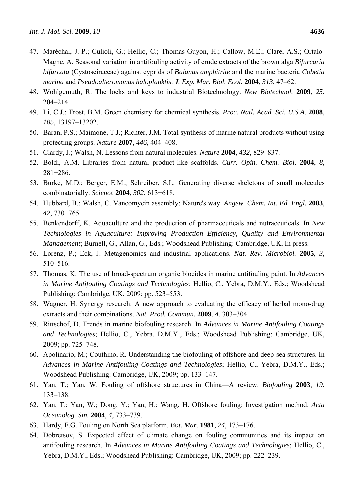- 47. Maréchal, J.-P.; Culioli, G.; Hellio, C.; Thomas-Guyon, H.; Callow, M.E.; Clare, A.S.; Ortalo-Magne, A. Seasonal variation in antifouling activity of crude extracts of the brown alga *Bifurcaria bifurcata* (Cystoseiraceae) against cyprids of *Balanus amphitrite* and the marine bacteria *Cobetia marina* and *Pseudoalteromonas haloplanktis*. *J. Exp. Mar. Biol. Ecol.* **2004**, *313*, 47–62.
- 48. Wohlgemuth, R. The locks and keys to industrial Biotechnology. *New Biotechnol.* **2009**, *25*, 204–214.
- 49. Li, C.J.; Trost, B.M. Green chemistry for chemical synthesis. *Proc. Natl. Acad. Sci. U.S.A*. **2008**, *105*, 13197–13202.
- 50. Baran, P.S.; Maimone, T.J.; Richter, J.M. Total synthesis of marine natural products without using protecting groups. *Nature* **2007**, *446*, 404–408.
- 51. Clardy, J.; Walsh, N. Lessons from natural molecules. *Nature* **2004**, *432*, 829–837.
- 52. Boldi, A.M. Libraries from natural product-like scaffolds. *Curr. Opin. Chem. Biol*. **2004**, *8*, 281−286.
- 53. Burke, M.D.; Berger, E.M.; Schreiber, S.L. Generating diverse skeletons of small molecules combinatorially. *Science* **2004**, *302*, 613−618.
- 54. Hubbard, B.; Walsh, C. Vancomycin assembly: Nature's way. *Angew. Chem. Int. Ed. Engl.* **2003**, *42*, 730−765.
- 55. Benkendorff, K. Aquaculture and the production of pharmaceuticals and nutraceuticals. In *New Technologies in Aquaculture: Improving Production Efficiency, Quality and Environmental Management*; Burnell, G., Allan, G., Eds.; Woodshead Publishing: Cambridge, UK, In press.
- 56. Lorenz, P.; Eck, J. Metagenomics and industrial applications. *Nat. Rev. Microbiol.* **2005**, *3*, 510–516.
- 57. Thomas, K. The use of broad-spectrum organic biocides in marine antifouling paint. In *Advances in Marine Antifouling Coatings and Technologies*; Hellio, C., Yebra, D.M.Y., Eds.; Woodshead Publishing: Cambridge, UK, 2009; pp. 523–553.
- 58. Wagner, H. Synergy research: A new approach to evaluating the efficacy of herbal mono-drug extracts and their combinations. *Nat. Prod. Commun.* **2009**, *4*, 303–304.
- 59. Rittschof, D. Trends in marine biofouling research. In *Advances in Marine Antifouling Coatings and Technologies*; Hellio, C., Yebra, D.M.Y., Eds.; Woodshead Publishing: Cambridge, UK, 2009; pp. 725–748.
- 60. Apolinario, M.; Couthino, R. Understanding the biofouling of offshore and deep-sea structures. In *Advances in Marine Antifouling Coatings and Technologies*; Hellio, C., Yebra, D.M.Y., Eds.; Woodshead Publishing: Cambridge, UK, 2009; pp. 133–147.
- 61. Yan, T.; Yan, W. Fouling of offshore structures in China—A review. *Biofouling* **2003**, *19*, 133–138.
- 62. Yan, T.; Yan, W.; Dong, Y.; Yan, H.; Wang, H. Offshore fouling: Investigation method. *Acta Oceanolog. Sin.* **2004**, *4*, 733–739.
- 63. Hardy, F.G. Fouling on North Sea platform. *Bot. Mar*. **1981**, *24*, 173–176.
- 64. Dobretsov, S. Expected effect of climate change on fouling communities and its impact on antifouling research. In *Advances in Marine Antifouling Coatings and Technologies*; Hellio, C., Yebra, D.M.Y., Eds.; Woodshead Publishing: Cambridge, UK, 2009; pp. 222–239.